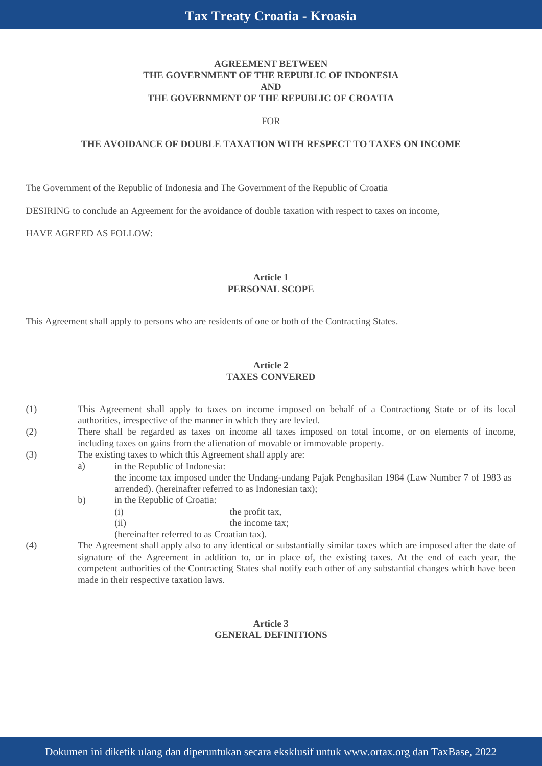## **AGREEMENT BETWEEN THE GOVERNMENT OF THE REPUBLIC OF INDONESIA AND THE GOVERNMENT OF THE REPUBLIC OF CROATIA**

FOR

## **THE AVOIDANCE OF DOUBLE TAXATION WITH RESPECT TO TAXES ON INCOME**

The Government of the Republic of Indonesia and The Government of the Republic of Croatia

DESIRING to conclude an Agreement for the avoidance of double taxation with respect to taxes on income,

HAVE AGREED AS FOLLOW:

### **Article 1 PERSONAL SCOPE**

This Agreement shall apply to persons who are residents of one or both of the Contracting States.

### **Article 2 TAXES CONVERED**

- (1) This Agreement shall apply to taxes on income imposed on behalf of a Contractiong State or of its local authorities, irrespective of the manner in which they are levied.
- (2) There shall be regarded as taxes on income all taxes imposed on total income, or on elements of income, including taxes on gains from the alienation of movable or immovable property.
- (3) The existing taxes to which this Agreement shall apply are:
	- a) in the Republic of Indonesia: the income tax imposed under the Undang-undang Pajak Penghasilan 1984 (Law Number 7 of 1983 as arrended). (hereinafter referred to as Indonesian tax);
	- b) in the Republic of Croatia:
		- (i) the profit tax,
		- (ii) the income tax;

(hereinafter referred to as Croatian tax).

(4) The Agreement shall apply also to any identical or substantially similar taxes which are imposed after the date of signature of the Agreement in addition to, or in place of, the existing taxes. At the end of each year, the competent authorities of the Contracting States shal notify each other of any substantial changes which have been made in their respective taxation laws.

## **Article 3 GENERAL DEFINITIONS**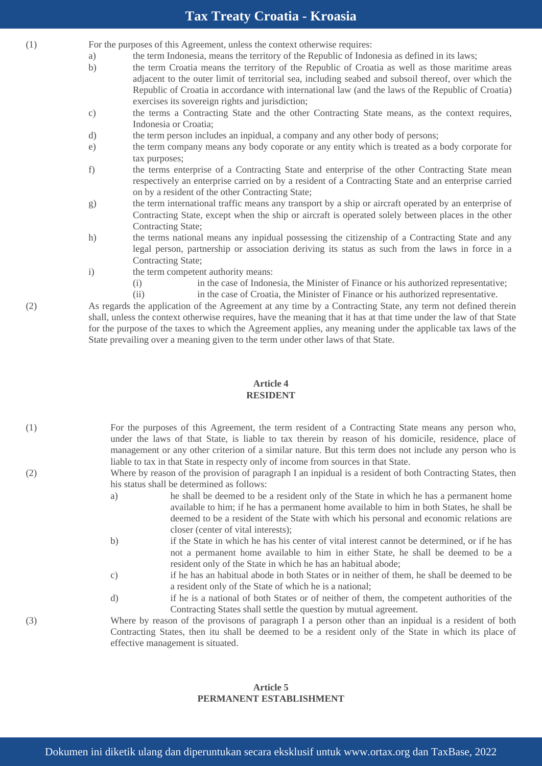(1) For the purposes of this Agreement, unless the context otherwise requires:

- a) the term Indonesia, means the territory of the Republic of Indonesia as defined in its laws;
- b) the term Croatia means the territory of the Republic of Croatia as well as those maritime areas adjacent to the outer limit of territorial sea, including seabed and subsoil thereof, over which the Republic of Croatia in accordance with international law (and the laws of the Republic of Croatia) exercises its sovereign rights and jurisdiction;
- c) the terms a Contracting State and the other Contracting State means, as the context requires, Indonesia or Croatia;
- d) the term person includes an inpidual, a company and any other body of persons;
- e) the term company means any body coporate or any entity which is treated as a body corporate for tax purposes;
- f) the terms enterprise of a Contracting State and enterprise of the other Contracting State mean respectively an enterprise carried on by a resident of a Contracting State and an enterprise carried on by a resident of the other Contracting State;
- g) the term international traffic means any transport by a ship or aircraft operated by an enterprise of Contracting State, except when the ship or aircraft is operated solely between places in the other Contracting State;
- h) the terms national means any inpidual possessing the citizenship of a Contracting State and any legal person, partnership or association deriving its status as such from the laws in force in a Contracting State;
- i) the term competent authority means:
	- (i) in the case of Indonesia, the Minister of Finance or his authorized representative;
	- (ii) in the case of Croatia, the Minister of Finance or his authorized representative.
- (2) As regards the application of the Agreement at any time by a Contracting State, any term not defined therein shall, unless the context otherwise requires, have the meaning that it has at that time under the law of that State for the purpose of the taxes to which the Agreement applies, any meaning under the applicable tax laws of the State prevailing over a meaning given to the term under other laws of that State.

#### **Article 4 RESIDENT**

(1) For the purposes of this Agreement, the term resident of a Contracting State means any person who, under the laws of that State, is liable to tax therein by reason of his domicile, residence, place of management or any other criterion of a similar nature. But this term does not include any person who is liable to tax in that State in respecty only of income from sources in that State.

(2) Where by reason of the provision of paragraph I an inpidual is a resident of both Contracting States, then his status shall be determined as follows:

- a) he shall be deemed to be a resident only of the State in which he has a permanent home available to him; if he has a permanent home available to him in both States, he shall be deemed to be a resident of the State with which his personal and economic relations are closer (center of vital interests);
- b) if the State in which he has his center of vital interest cannot be determined, or if he has not a permanent home available to him in either State, he shall be deemed to be a resident only of the State in which he has an habitual abode;
- c) if he has an habitual abode in both States or in neither of them, he shall be deemed to be a resident only of the State of which he is a national;
- d) if he is a national of both States or of neither of them, the competent authorities of the Contracting States shall settle the question by mutual agreement.

(3) Where by reason of the provisons of paragraph I a person other than an inpidual is a resident of both Contracting States, then itu shall be deemed to be a resident only of the State in which its place of effective management is situated.

## **Article 5 PERMANENT ESTABLISHMENT**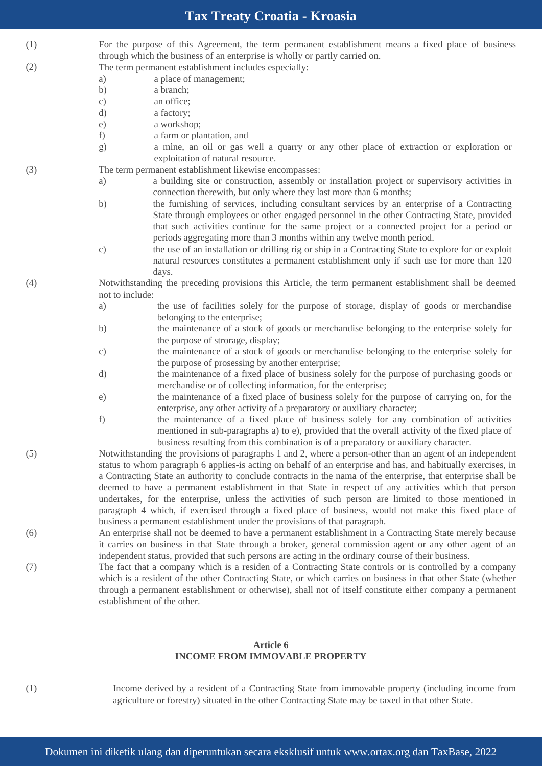(1) For the purpose of this Agreement, the term permanent establishment means a fixed place of business through which the business of an enterprise is wholly or partly carried on.

(2) The term permanent establishment includes especially:

- a) a place of management;
- b) a branch;
- c) an office;
- d) a factory;
- e) a workshop;
- f) a farm or plantation, and
- g) a mine, an oil or gas well a quarry or any other place of extraction or exploration or exploitation of natural resource.
- (3) The term permanent establishment likewise encompasses:
	- a) a building site or construction, assembly or installation project or supervisory activities in connection therewith, but only where they last more than 6 months;
	- b) the furnishing of services, including consultant services by an enterprise of a Contracting State through employees or other engaged personnel in the other Contracting State, provided that such activities continue for the same project or a connected project for a period or periods aggregating more than 3 months within any twelve month period.
	- c) the use of an installation or drilling rig or ship in a Contracting State to explore for or exploit natural resources constitutes a permanent establishment only if such use for more than 120 days.
- (4) Notwithstanding the preceding provisions this Article, the term permanent establishment shall be deemed not to include:
	- a) the use of facilities solely for the purpose of storage, display of goods or merchandise belonging to the enterprise;
	- b) the maintenance of a stock of goods or merchandise belonging to the enterprise solely for the purpose of strorage, display;
	- c) the maintenance of a stock of goods or merchandise belonging to the enterprise solely for the purpose of prosessing by another enterprise;
	- d) the maintenance of a fixed place of business solely for the purpose of purchasing goods or merchandise or of collecting information, for the enterprise;
	- e) the maintenance of a fixed place of business solely for the purpose of carrying on, for the enterprise, any other activity of a preparatory or auxiliary character;
	- f) the maintenance of a fixed place of business solely for any combination of activities mentioned in sub-paragraphs a) to e), provided that the overall activity of the fixed place of business resulting from this combination is of a preparatory or auxiliary character.

(5) Notwithstanding the provisions of paragraphs 1 and 2, where a person-other than an agent of an independent status to whom paragraph 6 applies-is acting on behalf of an enterprise and has, and habitually exercises, in a Contracting State an authority to conclude contracts in the nama of the enterprise, that enterprise shall be deemed to have a permanent establishment in that State in respect of any activities which that person undertakes, for the enterprise, unless the activities of such person are limited to those mentioned in paragraph 4 which, if exercised through a fixed place of business, would not make this fixed place of business a permanent establishment under the provisions of that paragraph.

(6) An enterprise shall not be deemed to have a permanent establishment in a Contracting State merely because it carries on business in that State through a broker, general commission agent or any other agent of an independent status, provided that such persons are acting in the ordinary course of their business.

(7) The fact that a company which is a residen of a Contracting State controls or is controlled by a company which is a resident of the other Contracting State, or which carries on business in that other State (whether through a permanent establishment or otherwise), shall not of itself constitute either company a permanent establishment of the other.

## **Article 6 INCOME FROM IMMOVABLE PROPERTY**

(1) Income derived by a resident of a Contracting State from immovable property (including income from agriculture or forestry) situated in the other Contracting State may be taxed in that other State.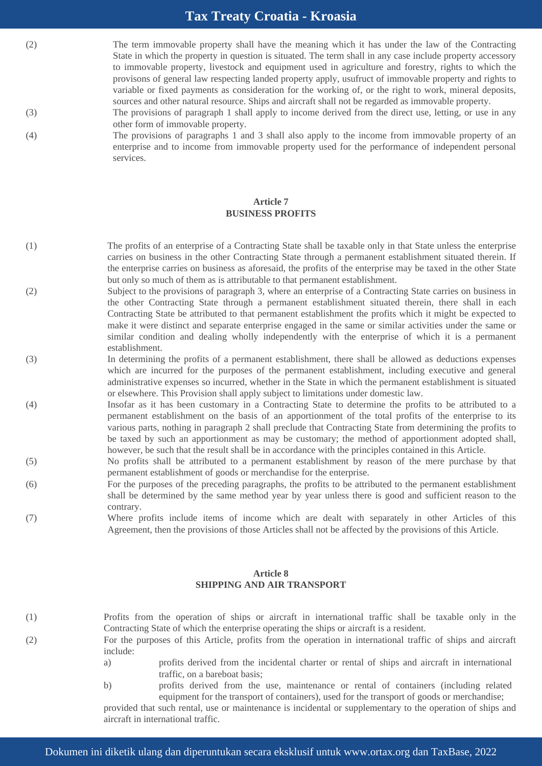(2) The term immovable property shall have the meaning which it has under the law of the Contracting State in which the property in question is situated. The term shall in any case include property accessory to immovable property, livestock and equipment used in agriculture and forestry, rights to which the provisons of general law respecting landed property apply, usufruct of immovable property and rights to variable or fixed payments as consideration for the working of, or the right to work, mineral deposits, sources and other natural resource. Ships and aircraft shall not be regarded as immovable property.

- (3) The provisions of paragraph 1 shall apply to income derived from the direct use, letting, or use in any other form of immovable property.
- (4) The provisions of paragraphs 1 and 3 shall also apply to the income from immovable property of an enterprise and to income from immovable property used for the performance of independent personal services.

### **Article 7 BUSINESS PROFITS**

- (1) The profits of an enterprise of a Contracting State shall be taxable only in that State unless the enterprise carries on business in the other Contracting State through a permanent establishment situated therein. If the enterprise carries on business as aforesaid, the profits of the enterprise may be taxed in the other State but only so much of them as is attributable to that permanent establishment.
- (2) Subject to the provisions of paragraph 3, where an enterprise of a Contracting State carries on business in the other Contracting State through a permanent establishment situated therein, there shall in each Contracting State be attributed to that permanent establishment the profits which it might be expected to make it were distinct and separate enterprise engaged in the same or similar activities under the same or similar condition and dealing wholly independently with the enterprise of which it is a permanent establishment.
- (3) In determining the profits of a permanent establishment, there shall be allowed as deductions expenses which are incurred for the purposes of the permanent establishment, including executive and general administrative expenses so incurred, whether in the State in which the permanent establishment is situated or elsewhere. This Provision shall apply subject to limitations under domestic law.
- (4) Insofar as it has been customary in a Contracting State to determine the profits to be attributed to a permanent establishment on the basis of an apportionment of the total profits of the enterprise to its various parts, nothing in paragraph 2 shall preclude that Contracting State from determining the profits to be taxed by such an apportionment as may be customary; the method of apportionment adopted shall, however, be such that the result shall be in accordance with the principles contained in this Article.
- (5) No profits shall be attributed to a permanent establishment by reason of the mere purchase by that permanent establishment of goods or merchandise for the enterprise.
- (6) For the purposes of the preceding paragraphs, the profits to be attributed to the permanent establishment shall be determined by the same method year by year unless there is good and sufficient reason to the contrary.
- (7) Where profits include items of income which are dealt with separately in other Articles of this Agreement, then the provisions of those Articles shall not be affected by the provisions of this Article.

# **Article 8 SHIPPING AND AIR TRANSPORT**

(1) Profits from the operation of ships or aircraft in international traffic shall be taxable only in the Contracting State of which the enterprise operating the ships or aircraft is a resident.

- (2) For the purposes of this Article, profits from the operation in international traffic of ships and aircraft include:
	- a) profits derived from the incidental charter or rental of ships and aircraft in international traffic, on a bareboat basis;
	- b) profits derived from the use, maintenance or rental of containers (including related equipment for the transport of containers), used for the transport of goods or merchandise;

provided that such rental, use or maintenance is incidental or supplementary to the operation of ships and aircraft in international traffic.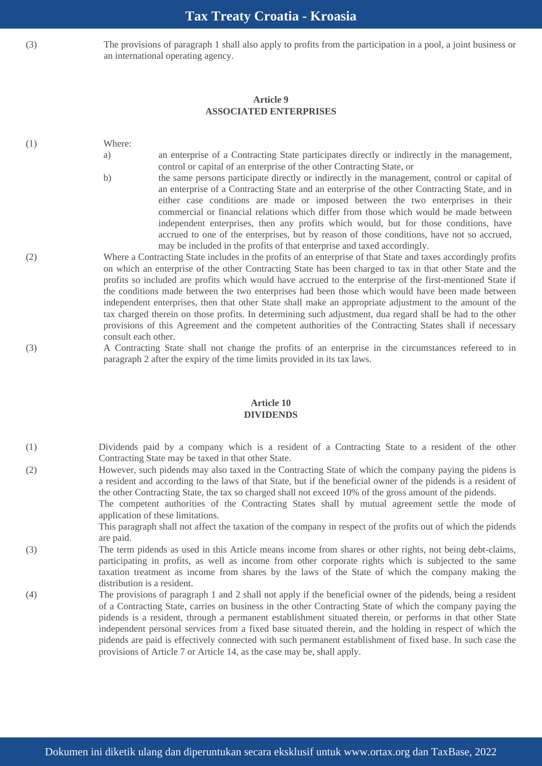(3) The provisions of paragraph 1 shall also apply to profits from the participation in a pool, a joint business or an international operating agency.

## **Article 9 ASSOCIATED ENTERPRISES**

(1) Where: a) an enterprise of a Contracting State participates directly or indirectly in the management, control or capital of an enterprise of the other Contracting State, or

> b) the same persons participate directly or indirectly in the management, control or capital of an enterprise of a Contracting State and an enterprise of the other Contracting State, and in either case conditions are made or imposed between the two enterprises in their commercial or financial relations which differ from those which would be made between independent enterprises, then any profits which would, but for those conditions, have accrued to one of the enterprises, but by reason of those conditions, have not so accrued, may be included in the profits of that enterprise and taxed accordingly.

(2) Where a Contracting State includes in the profits of an enterprise of that State and taxes accordingly profits on which an enterprise of the other Contracting State has been charged to tax in that other State and the profits so included are profits which would have accrued to the enterprise of the first-mentioned State if the conditions made between the two enterprises had been those which would have been made between independent enterprises, then that other State shall make an appropriate adjustment to the amount of the tax charged therein on those profits. In determining such adjustment, dua regard shall be had to the other provisions of this Agreement and the competent authorities of the Contracting States shall if necessary consult each other.

(3) A Contracting State shall not change the profits of an enterprise in the circumstances refereed to in paragraph 2 after the expiry of the time limits provided in its tax laws.

### **Article 10 DIVIDENDS**

- (1) Dividends paid by a company which is a resident of a Contracting State to a resident of the other Contracting State may be taxed in that other State.
- (2) However, such pidends may also taxed in the Contracting State of which the company paying the pidens is a resident and according to the laws of that State, but if the beneficial owner of the pidends is a resident of the other Contracting State, the tax so charged shall not exceed 10% of the gross amount of the pidends. The competent authorities of the Contracting States shall by mutual agreement settle the mode of application of these limitations.

This paragraph shall not affect the taxation of the company in respect of the profits out of which the pidends are paid.

- (3) The term pidends as used in this Article means income from shares or other rights, not being debt-claims, participating in profits, as well as income from other corporate rights which is subjected to the same taxation treatment as income from shares by the laws of the State of which the company making the distribution is a resident.
- (4) The provisions of paragraph 1 and 2 shall not apply if the beneficial owner of the pidends, being a resident of a Contracting State, carries on business in the other Contracting State of which the company paying the pidends is a resident, through a permanent establishment situated therein, or performs in that other State independent personal services from a fixed base situated therein, and the holding in respect of which the pidends are paid is effectively connected with such permanent establishment of fixed base. In such case the provisions of Article 7 or Article 14, as the case may be, shall apply.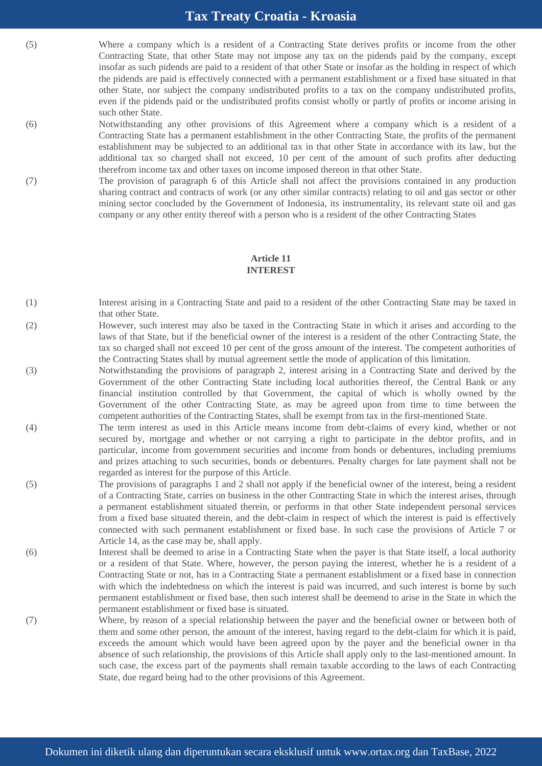(5) Where a company which is a resident of a Contracting State derives profits or income from the other Contracting State, that other State may not impose any tax on the pidends paid by the company, except insofar as such pidends are paid to a resident of that other State or insofar as the holding in respect of which the pidends are paid is effectively connected with a permanent establishment or a fixed base situated in that other State, nor subject the company undistributed profits to a tax on the company undistributed profits, even if the pidends paid or the undistributed profits consist wholly or partly of profits or income arising in such other State.

- (6) Notwithstanding any other provisions of this Agreement where a company which is a resident of a Contracting State has a permanent establishment in the other Contracting State, the profits of the permanent establishment may be subjected to an additional tax in that other State in accordance with its law, but the additional tax so charged shall not exceed, 10 per cent of the amount of such profits after deducting therefrom income tax and other taxes on income imposed thereon in that other State.
- (7) The provision of paragraph 6 of this Article shall not affect the provisions contained in any production sharing contract and contracts of work (or any other similar contracts) relating to oil and gas sector or other mining sector concluded by the Government of Indonesia, its instrumentality, its relevant state oil and gas company or any other entity thereof with a person who is a resident of the other Contracting States

## **Article 11 INTEREST**

- (1) Interest arising in a Contracting State and paid to a resident of the other Contracting State may be taxed in that other State.
- (2) However, such interest may also be taxed in the Contracting State in which it arises and according to the laws of that State, but if the beneficial owner of the interest is a resident of the other Contracting State, the tax so charged shall not exceed 10 per cent of the gross amount of the interest. The competent authorities of the Contracting States shall by mutual agreement settle the mode of application of this limitation.
- (3) Notwithstanding the provisions of paragraph 2, interest arising in a Contracting State and derived by the Government of the other Contracting State including local authorities thereof, the Central Bank or any financial institution controlled by that Government, the capital of which is wholly owned by the Government of the other Contracting State, as may be agreed upon from time to time between the competent authorities of the Contracting States, shall be exempt from tax in the first-mentioned State.
- (4) The term interest as used in this Article means income from debt-claims of every kind, whether or not secured by, mortgage and whether or not carrying a right to participate in the debtor profits, and in particular, income from government securities and income from bonds or debentures, including premiums and prizes attaching to such securities, bonds or debentures. Penalty charges for late payment shall not be regarded as interest for the purpose of this Article.
- (5) The provisions of paragraphs 1 and 2 shall not apply if the beneficial owner of the interest, being a resident of a Contracting State, carries on business in the other Contracting State in which the interest arises, through a permanent establishment situated therein, or performs in that other State independent personal services from a fixed base situated therein, and the debt-claim in respect of which the interest is paid is effectively connected with such permanent establishment or fixed base. In such case the provisions of Article 7 or Article 14, as the case may be, shall apply.
- (6) Interest shall be deemed to arise in a Contracting State when the payer is that State itself, a local authority or a resident of that State. Where, however, the person paying the interest, whether he is a resident of a Contracting State or not, has in a Contracting State a permanent establishment or a fixed base in connection with which the indebtedness on which the interest is paid was incurred, and such interest is borne by such permanent establishment or fixed base, then such interest shall be deemend to arise in the State in which the permanent establishment or fixed base is situated.
- (7) Where, by reason of a special relationship between the payer and the beneficial owner or between both of them and some other person, the amount of the interest, having regard to the debt-claim for which it is paid, exceeds the amount which would have been agreed upon by the payer and the beneficial owner in tha absence of such relationship, the provisions of this Article shall apply only to the last-mentioned amount. In such case, the excess part of the payments shall remain taxable according to the laws of each Contracting State, due regard being had to the other provisions of this Agreement.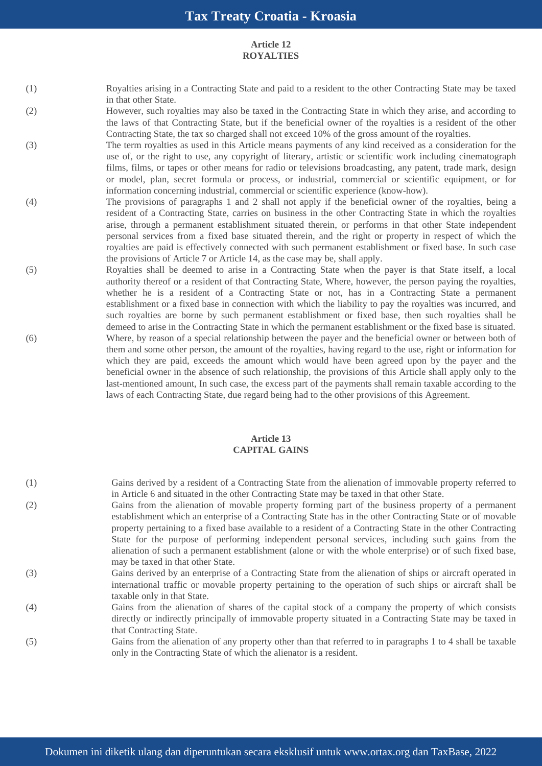## **Article 12 ROYALTIES**

- (1) Royalties arising in a Contracting State and paid to a resident to the other Contracting State may be taxed in that other State.
- (2) However, such royalties may also be taxed in the Contracting State in which they arise, and according to the laws of that Contracting State, but if the beneficial owner of the royalties is a resident of the other Contracting State, the tax so charged shall not exceed 10% of the gross amount of the royalties.
- (3) The term royalties as used in this Article means payments of any kind received as a consideration for the use of, or the right to use, any copyright of literary, artistic or scientific work including cinematograph films, films, or tapes or other means for radio or televisions broadcasting, any patent, trade mark, design or model, plan, secret formula or process, or industrial, commercial or scientific equipment, or for information concerning industrial, commercial or scientific experience (know-how).
- (4) The provisions of paragraphs 1 and 2 shall not apply if the beneficial owner of the royalties, being a resident of a Contracting State, carries on business in the other Contracting State in which the royalties arise, through a permanent establishment situated therein, or performs in that other State independent personal services from a fixed base situated therein, and the right or property in respect of which the royalties are paid is effectively connected with such permanent establishment or fixed base. In such case the provisions of Article 7 or Article 14, as the case may be, shall apply.
- (5) Royalties shall be deemed to arise in a Contracting State when the payer is that State itself, a local authority thereof or a resident of that Contracting State, Where, however, the person paying the royalties, whether he is a resident of a Contracting State or not, has in a Contracting State a permanent establishment or a fixed base in connection with which the liability to pay the royalties was incurred, and such royalties are borne by such permanent establishment or fixed base, then such royalties shall be demeed to arise in the Contracting State in which the permanent establishment or the fixed base is situated. (6) Where, by reason of a special relationship between the payer and the beneficial owner or between both of them and some other person, the amount of the royalties, having regard to the use, right or information for which they are paid, exceeds the amount which would have been agreed upon by the payer and the beneficial owner in the absence of such relationship, the provisions of this Article shall apply only to the last-mentioned amount, In such case, the excess part of the payments shall remain taxable according to the laws of each Contracting State, due regard being had to the other provisions of this Agreement.

## **Article 13 CAPITAL GAINS**

(1) Gains derived by a resident of a Contracting State from the alienation of immovable property referred to in Article 6 and situated in the other Contracting State may be taxed in that other State. (2) Gains from the alienation of movable property forming part of the business property of a permanent establishment which an enterprise of a Contracting State has in the other Contracting State or of movable property pertaining to a fixed base available to a resident of a Contracting State in the other Contracting State for the purpose of performing independent personal services, including such gains from the alienation of such a permanent establishment (alone or with the whole enterprise) or of such fixed base, may be taxed in that other State. (3) Gains derived by an enterprise of a Contracting State from the alienation of ships or aircraft operated in international traffic or movable property pertaining to the operation of such ships or aircraft shall be taxable only in that State. (4) Gains from the alienation of shares of the capital stock of a company the property of which consists directly or indirectly principally of immovable property situated in a Contracting State may be taxed in that Contracting State. (5) Gains from the alienation of any property other than that referred to in paragraphs 1 to 4 shall be taxable only in the Contracting State of which the alienator is a resident.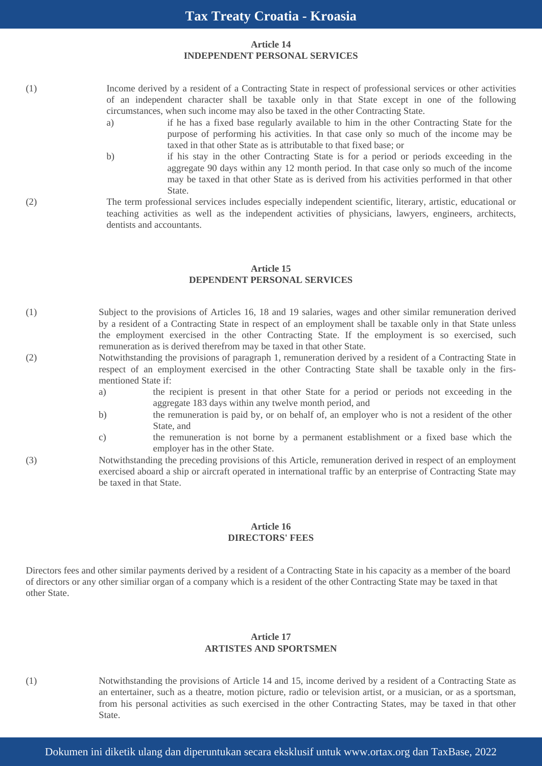## **Article 14 INDEPENDENT PERSONAL SERVICES**

(1) Income derived by a resident of a Contracting State in respect of professional services or other activities of an independent character shall be taxable only in that State except in one of the following circumstances, when such income may also be taxed in the other Contracting State.

- a) if he has a fixed base regularly available to him in the other Contracting State for the purpose of performing his activities. In that case only so much of the income may be taxed in that other State as is attributable to that fixed base; or
- b) if his stay in the other Contracting State is for a period or periods exceeding in the aggregate 90 days within any 12 month period. In that case only so much of the income may be taxed in that other State as is derived from his activities performed in that other State.
- (2) The term professional services includes especially independent scientific, literary, artistic, educational or teaching activities as well as the independent activities of physicians, lawyers, engineers, architects, dentists and accountants.

#### **Article 15 DEPENDENT PERSONAL SERVICES**

- (1) Subject to the provisions of Articles 16, 18 and 19 salaries, wages and other similar remuneration derived by a resident of a Contracting State in respect of an employment shall be taxable only in that State unless the employment exercised in the other Contracting State. If the employment is so exercised, such remuneration as is derived therefrom may be taxed in that other State.
- (2) Notwithstanding the provisions of paragraph 1, remuneration derived by a resident of a Contracting State in respect of an employment exercised in the other Contracting State shall be taxable only in the firsmentioned State if:
	- a) the recipient is present in that other State for a period or periods not exceeding in the aggregate 183 days within any twelve month period, and
	- b) the remuneration is paid by, or on behalf of, an employer who is not a resident of the other State, and
	- c) the remuneration is not borne by a permanent establishment or a fixed base which the employer has in the other State.
- (3) Notwithstanding the preceding provisions of this Article, remuneration derived in respect of an employment exercised aboard a ship or aircraft operated in international traffic by an enterprise of Contracting State may be taxed in that State.

#### **Article 16 DIRECTORS' FEES**

Directors fees and other similar payments derived by a resident of a Contracting State in his capacity as a member of the board of directors or any other similiar organ of a company which is a resident of the other Contracting State may be taxed in that other State.

## **Article 17 ARTISTES AND SPORTSMEN**

(1) Notwithstanding the provisions of Article 14 and 15, income derived by a resident of a Contracting State as an entertainer, such as a theatre, motion picture, radio or television artist, or a musician, or as a sportsman, from his personal activities as such exercised in the other Contracting States, may be taxed in that other State.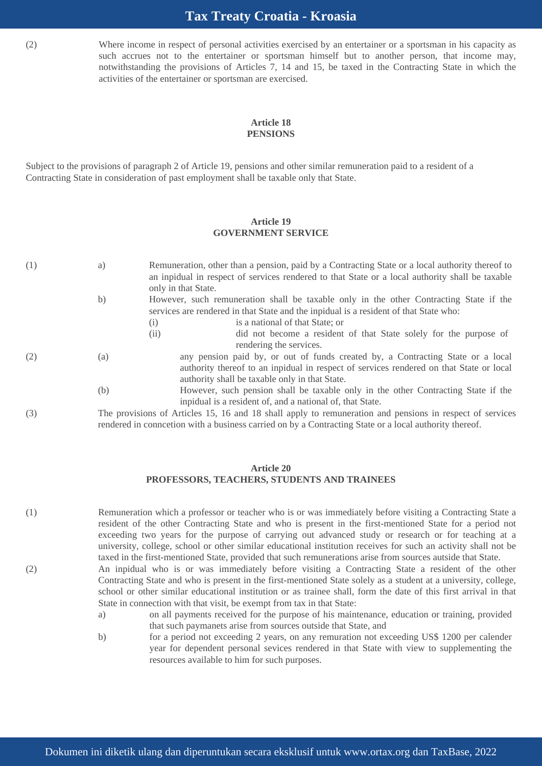(2) Where income in respect of personal activities exercised by an entertainer or a sportsman in his capacity as such accrues not to the entertainer or sportsman himself but to another person, that income may, notwithstanding the provisions of Articles 7, 14 and 15, be taxed in the Contracting State in which the activities of the entertainer or sportsman are exercised.

### **Article 18 PENSIONS**

Subject to the provisions of paragraph 2 of Article 19, pensions and other similar remuneration paid to a resident of a Contracting State in consideration of past employment shall be taxable only that State.

#### **Article 19 GOVERNMENT SERVICE**

- (1) a) Remuneration, other than a pension, paid by a Contracting State or a local authority thereof to an inpidual in respect of services rendered to that State or a local authority shall be taxable only in that State.
	- b) However, such remuneration shall be taxable only in the other Contracting State if the services are rendered in that State and the inpidual is a resident of that State who:
		- (i) is a national of that State; or
		- (ii) did not become a resident of that State solely for the purpose of rendering the services.
- (2) (a) any pension paid by, or out of funds created by, a Contracting State or a local authority thereof to an inpidual in respect of services rendered on that State or local authority shall be taxable only in that State.
	- (b) However, such pension shall be taxable only in the other Contracting State if the inpidual is a resident of, and a national of, that State.
- (3) The provisions of Articles 15, 16 and 18 shall apply to remuneration and pensions in respect of services rendered in conncetion with a business carried on by a Contracting State or a local authority thereof.

#### **Article 20**

## **PROFESSORS, TEACHERS, STUDENTS AND TRAINEES**

- (1) Remuneration which a professor or teacher who is or was immediately before visiting a Contracting State a resident of the other Contracting State and who is present in the first-mentioned State for a period not exceeding two years for the purpose of carrying out advanced study or research or for teaching at a university, college, school or other similar educational institution receives for such an activity shall not be taxed in the first-mentioned State, provided that such remunerations arise from sources autside that State. (2) An inpidual who is or was immediately before visiting a Contracting State a resident of the other
	- Contracting State and who is present in the first-mentioned State solely as a student at a university, college, school or other similar educational institution or as trainee shall, form the date of this first arrival in that State in connection with that visit, be exempt from tax in that State:
		- a) on all payments received for the purpose of his maintenance, education or training, provided that such paymanets arise from sources outside that State, and
		- b) for a period not exceeding 2 years, on any remuration not exceeding US\$ 1200 per calender year for dependent personal sevices rendered in that State with view to supplementing the resources available to him for such purposes.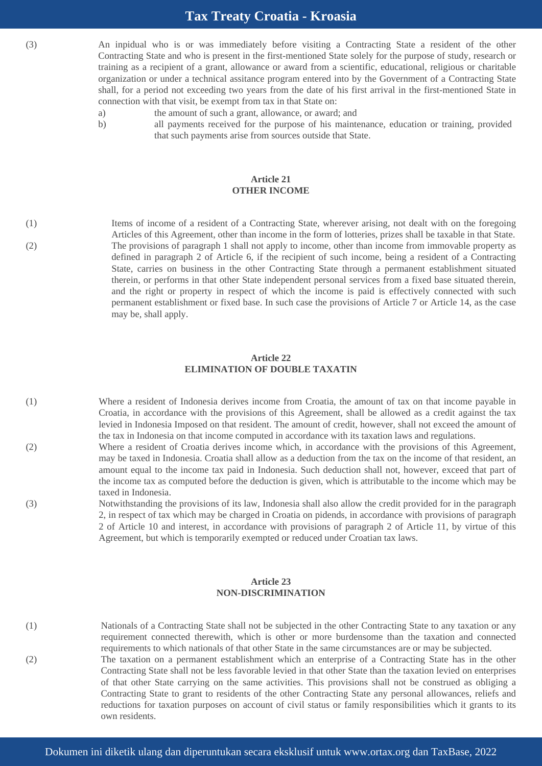(3) An inpidual who is or was immediately before visiting a Contracting State a resident of the other Contracting State and who is present in the first-mentioned State solely for the purpose of study, research or training as a recipient of a grant, allowance or award from a scientific, educational, religious or charitable organization or under a technical assitance program entered into by the Government of a Contracting State shall, for a period not exceeding two years from the date of his first arrival in the first-mentioned State in connection with that visit, be exempt from tax in that State on:

- a) the amount of such a grant, allowance, or award; and
- b) all payments received for the purpose of his maintenance, education or training, provided that such payments arise from sources outside that State.

#### **Article 21 OTHER INCOME**

(1) Items of income of a resident of a Contracting State, wherever arising, not dealt with on the foregoing Articles of this Agreement, other than income in the form of lotteries, prizes shall be taxable in that State. (2) The provisions of paragraph 1 shall not apply to income, other than income from immovable property as defined in paragraph 2 of Article 6, if the recipient of such income, being a resident of a Contracting State, carries on business in the other Contracting State through a permanent establishment situated therein, or performs in that other State independent personal services from a fixed base situated therein, and the right or property in respect of which the income is paid is effectively connected with such permanent establishment or fixed base. In such case the provisions of Article 7 or Article 14, as the case may be, shall apply.

### **Article 22 ELIMINATION OF DOUBLE TAXATIN**

- (1) Where a resident of Indonesia derives income from Croatia, the amount of tax on that income payable in Croatia, in accordance with the provisions of this Agreement, shall be allowed as a credit against the tax levied in Indonesia Imposed on that resident. The amount of credit, however, shall not exceed the amount of the tax in Indonesia on that income computed in accordance with its taxation laws and regulations.
- (2) Where a resident of Croatia derives income which, in accordance with the provisions of this Agreement, may be taxed in Indonesia. Croatia shall allow as a deduction from the tax on the income of that resident, an amount equal to the income tax paid in Indonesia. Such deduction shall not, however, exceed that part of the income tax as computed before the deduction is given, which is attributable to the income which may be taxed in Indonesia.
- (3) Notwithstanding the provisions of its law, Indonesia shall also allow the credit provided for in the paragraph 2, in respect of tax which may be charged in Croatia on pidends, in accordance with provisions of paragraph 2 of Article 10 and interest, in accordance with provisions of paragraph 2 of Article 11, by virtue of this Agreement, but which is temporarily exempted or reduced under Croatian tax laws.

#### **Article 23 NON-DISCRIMINATION**

(1) Nationals of a Contracting State shall not be subjected in the other Contracting State to any taxation or any requirement connected therewith, which is other or more burdensome than the taxation and connected requirements to which nationals of that other State in the same circumstances are or may be subjected. (2) The taxation on a permanent establishment which an enterprise of a Contracting State has in the other Contracting State shall not be less favorable levied in that other State than the taxation levied on enterprises of that other State carrying on the same activities. This provisions shall not be construed as obliging a Contracting State to grant to residents of the other Contracting State any personal allowances, reliefs and reductions for taxation purposes on account of civil status or family responsibilities which it grants to its own residents.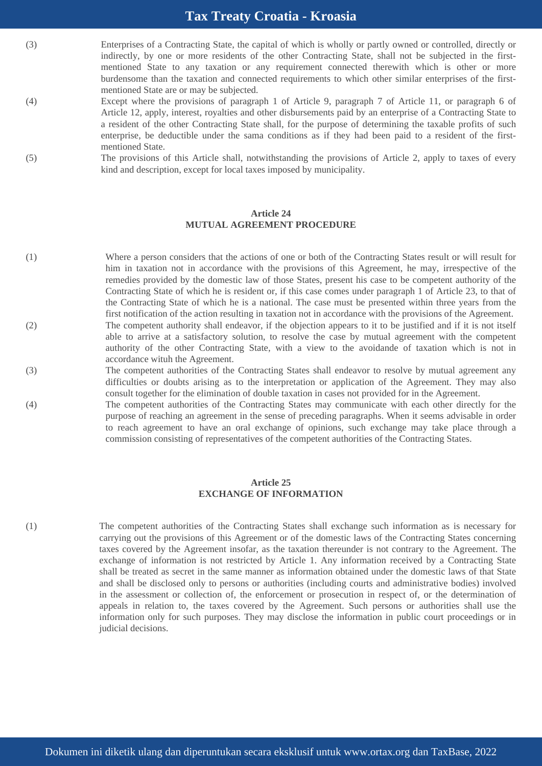(3) Enterprises of a Contracting State, the capital of which is wholly or partly owned or controlled, directly or indirectly, by one or more residents of the other Contracting State, shall not be subjected in the firstmentioned State to any taxation or any requirement connected therewith which is other or more burdensome than the taxation and connected requirements to which other similar enterprises of the firstmentioned State are or may be subjected.

- (4) Except where the provisions of paragraph 1 of Article 9, paragraph 7 of Article 11, or paragraph 6 of Article 12, apply, interest, royalties and other disbursements paid by an enterprise of a Contracting State to a resident of the other Contracting State shall, for the purpose of determining the taxable profits of such enterprise, be deductible under the sama conditions as if they had been paid to a resident of the firstmentioned State.
- (5) The provisions of this Article shall, notwithstanding the provisions of Article 2, apply to taxes of every kind and description, except for local taxes imposed by municipality.

### **Article 24 MUTUAL AGREEMENT PROCEDURE**

- (1) Where a person considers that the actions of one or both of the Contracting States result or will result for him in taxation not in accordance with the provisions of this Agreement, he may, irrespective of the remedies provided by the domestic law of those States, present his case to be competent authority of the Contracting State of which he is resident or, if this case comes under paragraph 1 of Article 23, to that of the Contracting State of which he is a national. The case must be presented within three years from the first notification of the action resulting in taxation not in accordance with the provisions of the Agreement. (2) The competent authority shall endeavor, if the objection appears to it to be justified and if it is not itself able to arrive at a satisfactory solution, to resolve the case by mutual agreement with the competent authority of the other Contracting State, with a view to the avoidande of taxation which is not in accordance wituh the Agreement.
- (3) The competent authorities of the Contracting States shall endeavor to resolve by mutual agreement any difficulties or doubts arising as to the interpretation or application of the Agreement. They may also consult together for the elimination of double taxation in cases not provided for in the Agreement.
- (4) The competent authorities of the Contracting States may communicate with each other directly for the purpose of reaching an agreement in the sense of preceding paragraphs. When it seems advisable in order to reach agreement to have an oral exchange of opinions, such exchange may take place through a commission consisting of representatives of the competent authorities of the Contracting States.

### **Article 25 EXCHANGE OF INFORMATION**

(1) The competent authorities of the Contracting States shall exchange such information as is necessary for carrying out the provisions of this Agreement or of the domestic laws of the Contracting States concerning taxes covered by the Agreement insofar, as the taxation thereunder is not contrary to the Agreement. The exchange of information is not restricted by Article 1. Any information received by a Contracting State shall be treated as secret in the same manner as information obtained under the domestic laws of that State and shall be disclosed only to persons or authorities (including courts and administrative bodies) involved in the assessment or collection of, the enforcement or prosecution in respect of, or the determination of appeals in relation to, the taxes covered by the Agreement. Such persons or authorities shall use the information only for such purposes. They may disclose the information in public court proceedings or in judicial decisions.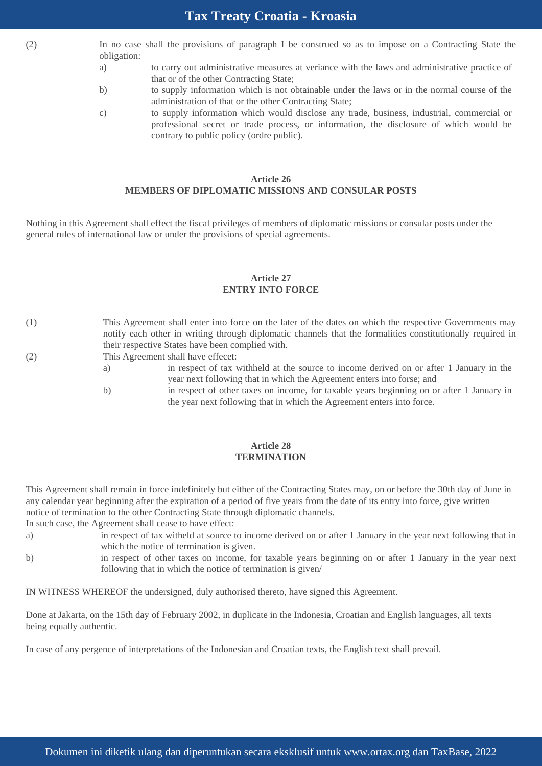(2) In no case shall the provisions of paragraph I be construed so as to impose on a Contracting State the obligation:

- a) to carry out administrative measures at veriance with the laws and administrative practice of that or of the other Contracting State;
- b) to supply information which is not obtainable under the laws or in the normal course of the administration of that or the other Contracting State;
- c) to supply information which would disclose any trade, business, industrial, commercial or professional secret or trade process, or information, the disclosure of which would be contrary to public policy (ordre public).

## **Article 26 MEMBERS OF DIPLOMATIC MISSIONS AND CONSULAR POSTS**

Nothing in this Agreement shall effect the fiscal privileges of members of diplomatic missions or consular posts under the general rules of international law or under the provisions of special agreements.

### **Article 27 ENTRY INTO FORCE**

(1) This Agreement shall enter into force on the later of the dates on which the respective Governments may notify each other in writing through diplomatic channels that the formalities constitutionally required in their respective States have been complied with.

(2) This Agreement shall have effecet:

- a) in respect of tax withheld at the source to income derived on or after 1 January in the year next following that in which the Agreement enters into forse; and
- b) in respect of other taxes on income, for taxable years beginning on or after 1 January in the year next following that in which the Agreement enters into force.

## **Article 28 TERMINATION**

This Agreement shall remain in force indefinitely but either of the Contracting States may, on or before the 30th day of June in any calendar year beginning after the expiration of a period of five years from the date of its entry into force, give written notice of termination to the other Contracting State through diplomatic channels.

In such case, the Agreement shall cease to have effect:

- a) in respect of tax witheld at source to income derived on or after 1 January in the year next following that in which the notice of termination is given.
- b) in respect of other taxes on income, for taxable years beginning on or after 1 January in the year next following that in which the notice of termination is given/

IN WITNESS WHEREOF the undersigned, duly authorised thereto, have signed this Agreement.

Done at Jakarta, on the 15th day of February 2002, in duplicate in the Indonesia, Croatian and English languages, all texts being equally authentic.

In case of any pergence of interpretations of the Indonesian and Croatian texts, the English text shall prevail.

Dokumen ini diketik ulang dan diperuntukan secara eksklusif untuk www.ortax.org dan TaxBase, 2022